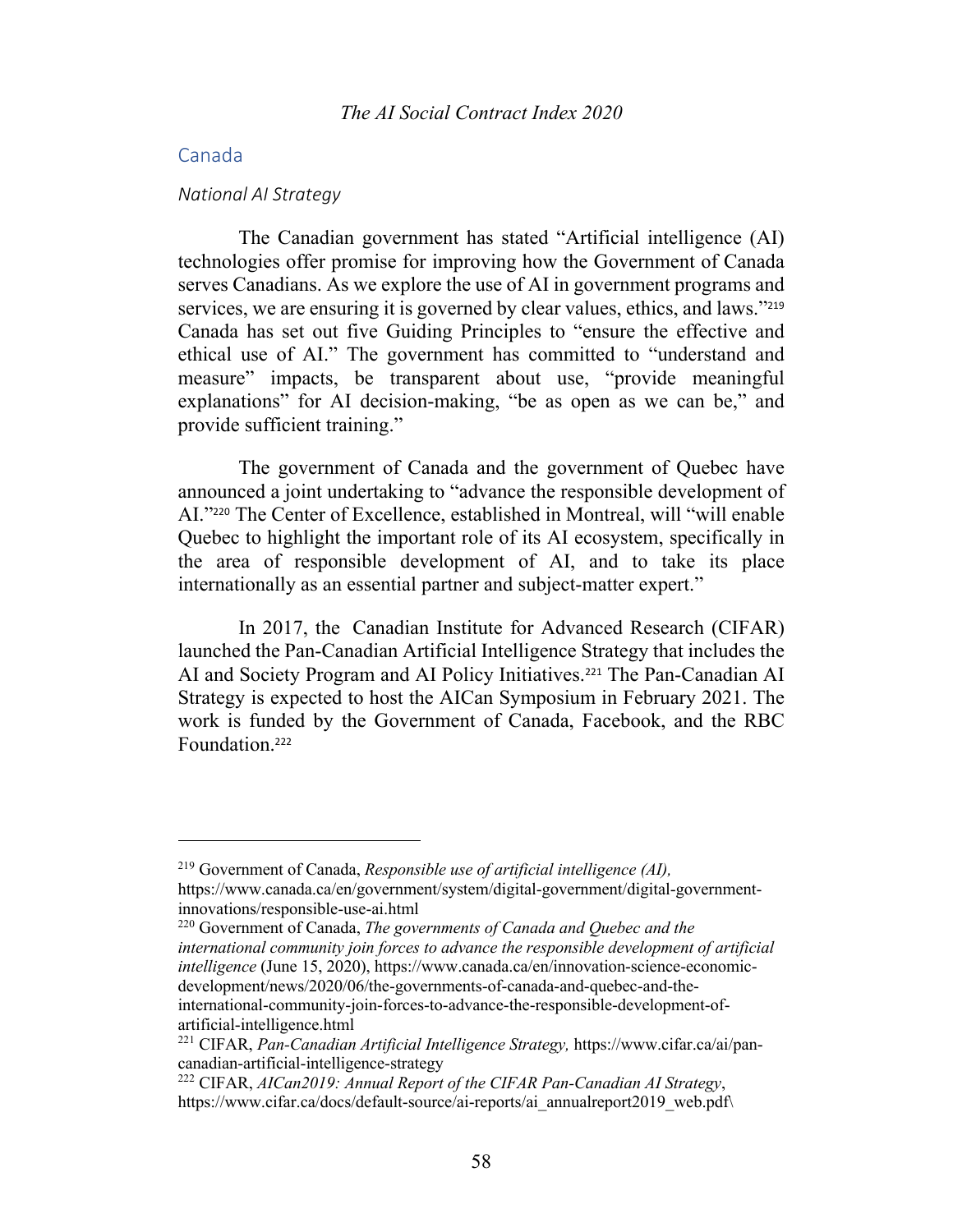### Canada

#### *National AI Strategy*

The Canadian government has stated "Artificial intelligence (AI) technologies offer promise for improving how the Government of Canada serves Canadians. As we explore the use of AI in government programs and services, we are ensuring it is governed by clear values, ethics, and laws."<sup>219</sup> Canada has set out five Guiding Principles to "ensure the effective and ethical use of AI." The government has committed to "understand and measure" impacts, be transparent about use, "provide meaningful explanations" for AI decision-making, "be as open as we can be," and provide sufficient training."

The government of Canada and the government of Quebec have announced a joint undertaking to "advance the responsible development of AI."<sup>220</sup> The Center of Excellence, established in Montreal, will "will enable Quebec to highlight the important role of its AI ecosystem, specifically in the area of responsible development of AI, and to take its place internationally as an essential partner and subject-matter expert."

In 2017, the Canadian Institute for Advanced Research (CIFAR) launched the Pan-Canadian Artificial Intelligence Strategy that includes the AI and Society Program and AI Policy Initiatives.<sup>221</sup> The Pan-Canadian AI Strategy is expected to host the AICan Symposium in February 2021. The work is funded by the Government of Canada, Facebook, and the RBC Foundation.<sup>222</sup>

<sup>220</sup> Government of Canada, *The governments of Canada and Quebec and the international community join forces to advance the responsible development of artificial intelligence* (June 15, 2020), https://www.canada.ca/en/innovation-science-economicdevelopment/news/2020/06/the-governments-of-canada-and-quebec-and-theinternational-community-join-forces-to-advance-the-responsible-development-ofartificial-intelligence.html

<sup>219</sup> Government of Canada, *Responsible use of artificial intelligence (AI),*  https://www.canada.ca/en/government/system/digital-government/digital-governmentinnovations/responsible-use-ai.html

<sup>221</sup> CIFAR, *Pan-Canadian Artificial Intelligence Strategy,* https://www.cifar.ca/ai/pancanadian-artificial-intelligence-strategy

<sup>222</sup> CIFAR, *AICan2019: Annual Report of the CIFAR Pan-Canadian AI Strategy*, https://www.cifar.ca/docs/default-source/ai-reports/ai\_annualreport2019\_web.pdf\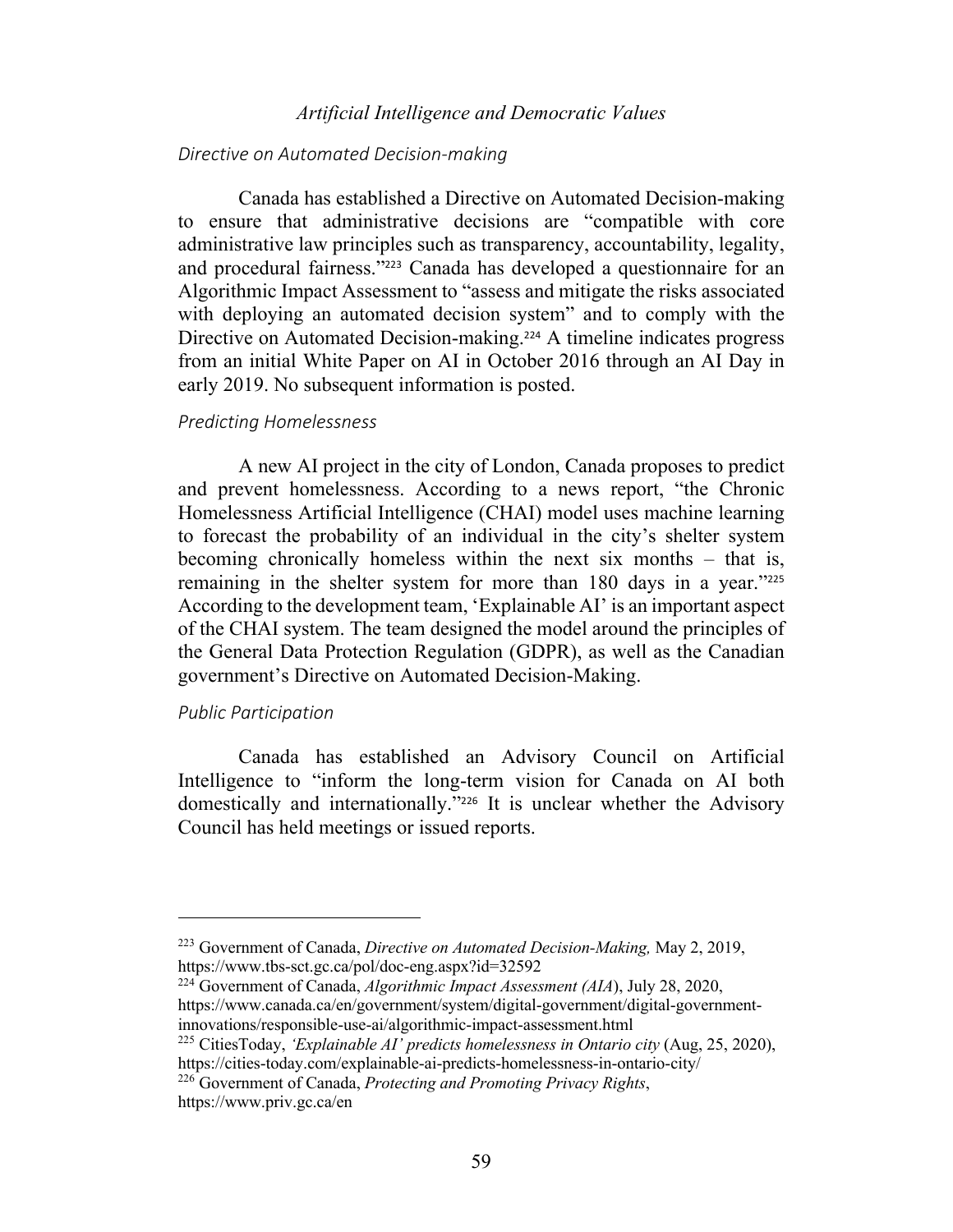### *Artificial Intelligence and Democratic Values*

#### *Directive on Automated Decision-making*

Canada has established a Directive on Automated Decision-making to ensure that administrative decisions are "compatible with core administrative law principles such as transparency, accountability, legality, and procedural fairness."<sup>223</sup> Canada has developed a questionnaire for an Algorithmic Impact Assessment to "assess and mitigate the risks associated with deploying an automated decision system" and to comply with the Directive on Automated Decision-making.<sup>224</sup> A timeline indicates progress from an initial White Paper on AI in October 2016 through an AI Day in early 2019. No subsequent information is posted.

#### *Predicting Homelessness*

A new AI project in the city of London, Canada proposes to predict and prevent homelessness. According to a news report, "the Chronic Homelessness Artificial Intelligence (CHAI) model uses machine learning to forecast the probability of an individual in the city's shelter system becoming chronically homeless within the next six months – that is, remaining in the shelter system for more than 180 days in a year."<sup>225</sup> According to the development team, 'Explainable AI' is an important aspect of the CHAI system. The team designed the model around the principles of the General Data Protection Regulation (GDPR), as well as the Canadian government's Directive on Automated Decision-Making.

#### *Public Participation*

Canada has established an Advisory Council on Artificial Intelligence to "inform the long-term vision for Canada on AI both domestically and internationally."<sup>226</sup> It is unclear whether the Advisory Council has held meetings or issued reports.

<sup>224</sup> Government of Canada, *Algorithmic Impact Assessment (AIA*), July 28, 2020, https://www.canada.ca/en/government/system/digital-government/digital-governmentinnovations/responsible-use-ai/algorithmic-impact-assessment.html

<sup>225</sup> CitiesToday, *'Explainable AI' predicts homelessness in Ontario city* (Aug, 25, 2020), https://cities-today.com/explainable-ai-predicts-homelessness-in-ontario-city/

<sup>226</sup> Government of Canada, *Protecting and Promoting Privacy Rights*, https://www.priv.gc.ca/en

<sup>223</sup> Government of Canada, *Directive on Automated Decision-Making,* May 2, 2019, https://www.tbs-sct.gc.ca/pol/doc-eng.aspx?id=32592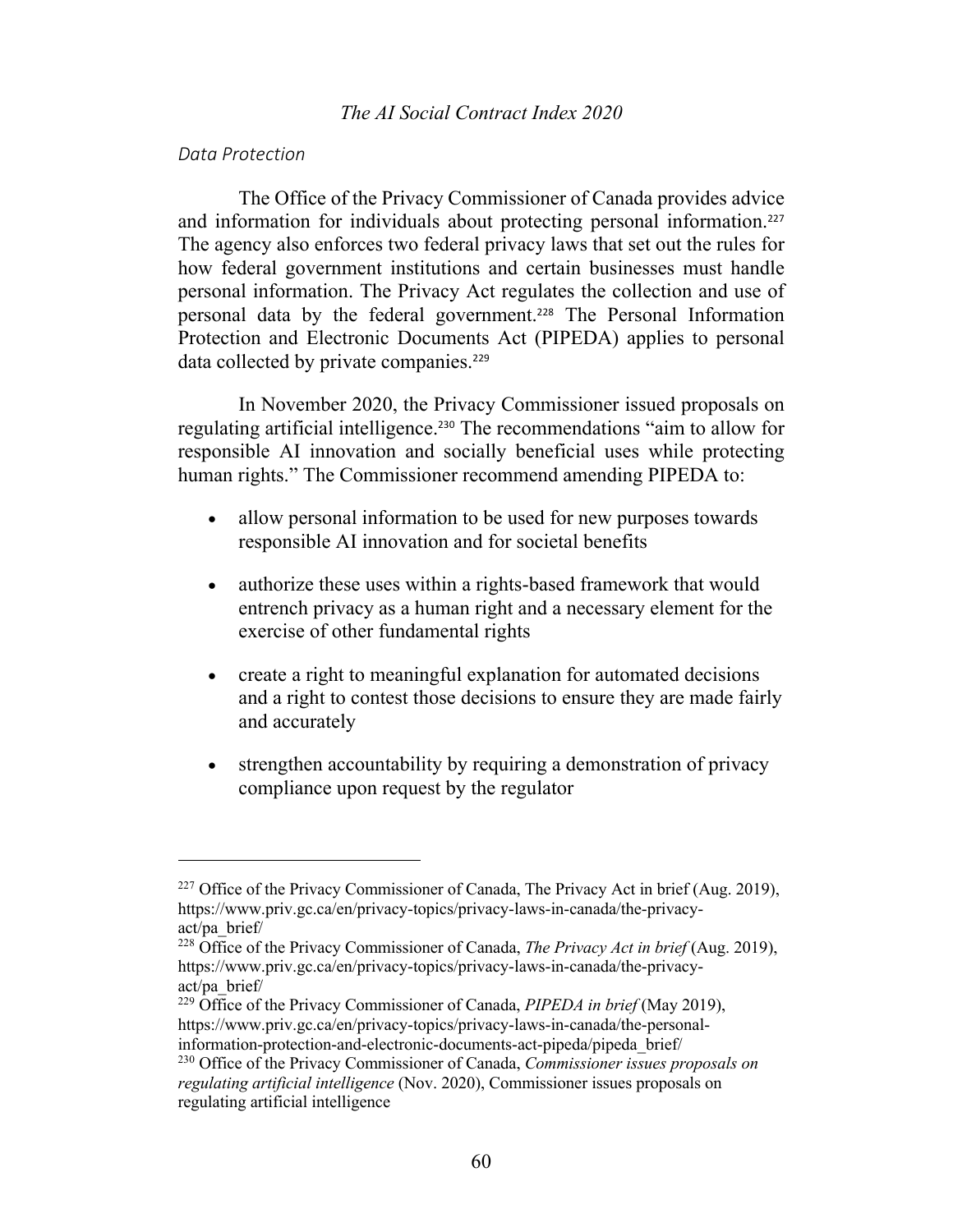#### *Data Protection*

The Office of the Privacy Commissioner of Canada provides advice and information for individuals about protecting personal information.<sup>227</sup> The agency also enforces two federal privacy laws that set out the rules for how federal government institutions and certain businesses must handle personal information. The Privacy Act regulates the collection and use of personal data by the federal government.<sup>228</sup> The Personal Information Protection and Electronic Documents Act (PIPEDA) applies to personal data collected by private companies.<sup>229</sup>

In November 2020, the Privacy Commissioner issued proposals on regulating artificial intelligence. <sup>230</sup> The recommendations "aim to allow for responsible AI innovation and socially beneficial uses while protecting human rights." The Commissioner recommend amending PIPEDA to:

- allow personal information to be used for new purposes towards responsible AI innovation and for societal benefits
- authorize these uses within a rights-based framework that would entrench privacy as a human right and a necessary element for the exercise of other fundamental rights
- create a right to meaningful explanation for automated decisions and a right to contest those decisions to ensure they are made fairly and accurately
- strengthen accountability by requiring a demonstration of privacy compliance upon request by the regulator

<sup>&</sup>lt;sup>227</sup> Office of the Privacy Commissioner of Canada, The Privacy Act in brief (Aug. 2019), https://www.priv.gc.ca/en/privacy-topics/privacy-laws-in-canada/the-privacyact/pa\_brief/

<sup>228</sup> Office of the Privacy Commissioner of Canada, *The Privacy Act in brief* (Aug. 2019), https://www.priv.gc.ca/en/privacy-topics/privacy-laws-in-canada/the-privacyact/pa\_brief/

<sup>229</sup> Office of the Privacy Commissioner of Canada, *PIPEDA in brief* (May 2019), https://www.priv.gc.ca/en/privacy-topics/privacy-laws-in-canada/the-personalinformation-protection-and-electronic-documents-act-pipeda/pipeda\_brief/

<sup>230</sup> Office of the Privacy Commissioner of Canada, *Commissioner issues proposals on regulating artificial intelligence* (Nov. 2020), Commissioner issues proposals on regulating artificial intelligence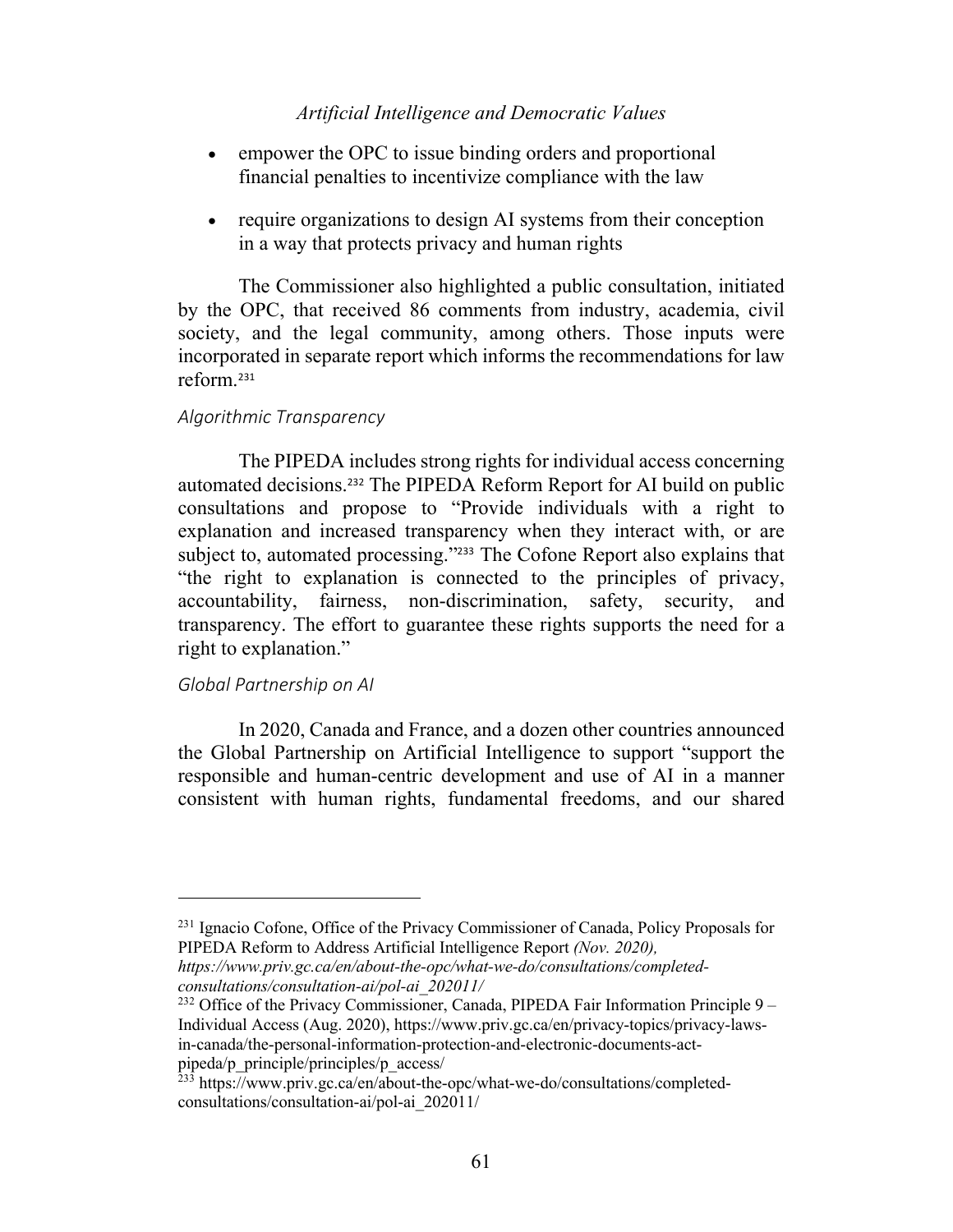## *Artificial Intelligence and Democratic Values*

- empower the OPC to issue binding orders and proportional financial penalties to incentivize compliance with the law
- require organizations to design AI systems from their conception in a way that protects privacy and human rights

The Commissioner also highlighted a public consultation, initiated by the OPC, that received 86 comments from industry, academia, civil society, and the legal community, among others. Those inputs were incorporated in separate report which informs the recommendations for law reform.<sup>231</sup>

### *Algorithmic Transparency*

The PIPEDA includes strong rights for individual access concerning automated decisions.<sup>232</sup> The PIPEDA Reform Report for AI build on public consultations and propose to "Provide individuals with a right to explanation and increased transparency when they interact with, or are subject to, automated processing."<sup>233</sup> The Cofone Report also explains that "the right to explanation is connected to the principles of privacy, accountability, fairness, non-discrimination, safety, security, and transparency. The effort to guarantee these rights supports the need for a right to explanation."

### *Global Partnership on AI*

In 2020, Canada and France, and a dozen other countries announced the Global Partnership on Artificial Intelligence to support "support the responsible and human-centric development and use of AI in a manner consistent with human rights, fundamental freedoms, and our shared

<sup>&</sup>lt;sup>231</sup> Ignacio Cofone, Office of the Privacy Commissioner of Canada, Policy Proposals for PIPEDA Reform to Address Artificial Intelligence Report *(Nov. 2020),* 

*https://www.priv.gc.ca/en/about-the-opc/what-we-do/consultations/completedconsultations/consultation-ai/pol-ai\_202011/*

<sup>&</sup>lt;sup>232</sup> Office of the Privacy Commissioner, Canada, PIPEDA Fair Information Principle  $9 -$ Individual Access (Aug. 2020), https://www.priv.gc.ca/en/privacy-topics/privacy-lawsin-canada/the-personal-information-protection-and-electronic-documents-actpipeda/p\_principle/principles/p\_access/

<sup>&</sup>lt;sup>233</sup> https://www.priv.gc.ca/en/about-the-opc/what-we-do/consultations/completedconsultations/consultation-ai/pol-ai\_202011/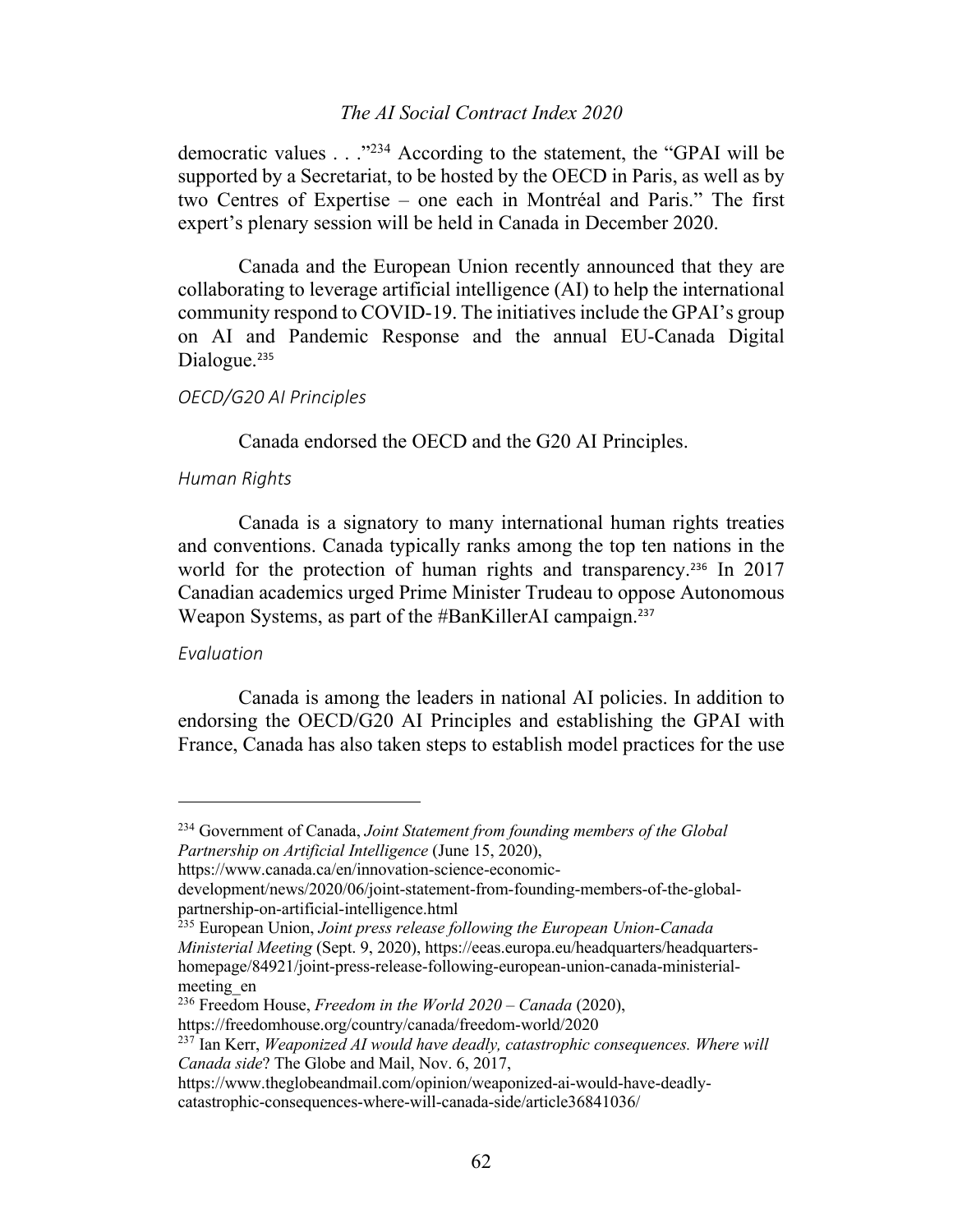### *The AI Social Contract Index 2020*

democratic values . . ."234 According to the statement, the "GPAI will be supported by a Secretariat, to be hosted by the OECD in Paris, as well as by two Centres of Expertise – one each in Montréal and Paris." The first expert's plenary session will be held in Canada in December 2020.

Canada and the European Union recently announced that they are collaborating to leverage artificial intelligence (AI) to help the international community respond to COVID-19. The initiatives include the GPAI's group on AI and Pandemic Response and the annual EU-Canada Digital Dialogue.<sup>235</sup>

#### *OECD/G20 AI Principles*

Canada endorsed the OECD and the G20 AI Principles.

### *Human Rights*

Canada is a signatory to many international human rights treaties and conventions. Canada typically ranks among the top ten nations in the world for the protection of human rights and transparency.<sup>236</sup> In 2017 Canadian academics urged Prime Minister Trudeau to oppose Autonomous Weapon Systems, as part of the #BanKillerAI campaign.<sup>237</sup>

#### *Evaluation*

Canada is among the leaders in national AI policies. In addition to endorsing the OECD/G20 AI Principles and establishing the GPAI with France, Canada has also taken steps to establish model practices for the use

<sup>234</sup> Government of Canada, *Joint Statement from founding members of the Global Partnership on Artificial Intelligence* (June 15, 2020),

https://www.canada.ca/en/innovation-science-economic-

development/news/2020/06/joint-statement-from-founding-members-of-the-globalpartnership-on-artificial-intelligence.html

<sup>235</sup> European Union, *Joint press release following the European Union-Canada Ministerial Meeting* (Sept. 9, 2020), https://eeas.europa.eu/headquarters/headquartershomepage/84921/joint-press-release-following-european-union-canada-ministerialmeeting\_en

<sup>236</sup> Freedom House, *Freedom in the World 2020 – Canada* (2020),

https://freedomhouse.org/country/canada/freedom-world/2020

<sup>237</sup> Ian Kerr, *Weaponized AI would have deadly, catastrophic consequences. Where will Canada side*? The Globe and Mail, Nov. 6, 2017,

https://www.theglobeandmail.com/opinion/weaponized-ai-would-have-deadlycatastrophic-consequences-where-will-canada-side/article36841036/